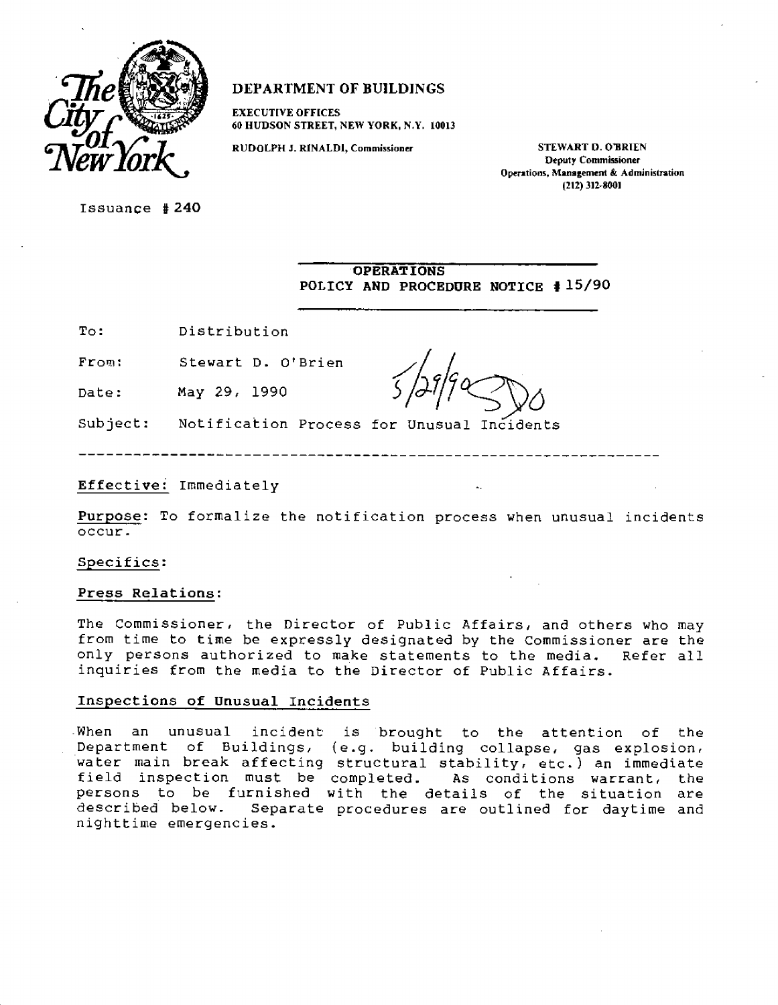

# **DEPARTMENT OF BUILDINGS**

**EXECUTIVE OFFICES 60 HUDSON STREET, NEW YORK, N.Y. 10013** 

**RUDOLPH J. RINALDI, Commissioner STEWART D. O'BRIEN Deputy Commissioner Operations, Management & Administration (212) 312-8001** 

Issuance **#240** 

**OPERATIONS POLICY AND PROCEDURE NOTICE # 15/90** 

To: Distribution

From: Stewart D. O'Brien

Date: May 29, 1990

Subject: Notification Process for Unusual Incidents

Effective: Immediately

**Purpose:** To formalize the notification process when unusual incidents occur.

Specifics:

#### **Press Relations:**

The Commissioner, the Director of Public Affairs, and others who may from time to time be expressly designated by the Commissioner are the only persons authorized to make statements to the media. Refer all inquiries from the media to the Director of Public Affairs.

## **Inspections of Unusual Incidents**

When an unusual incident is brought to the attention of the Department of Buildings, (e.g. building collapse, gas explosion, water main break affecting structural stability, etc.) an immediate field inspection must be completed. As conditions warrant, the persons to be furnished with the details of the situation are<br>described below. Separate procedures are outlined for daytime and Separate procedures are outlined for daytime and nighttime emergencies.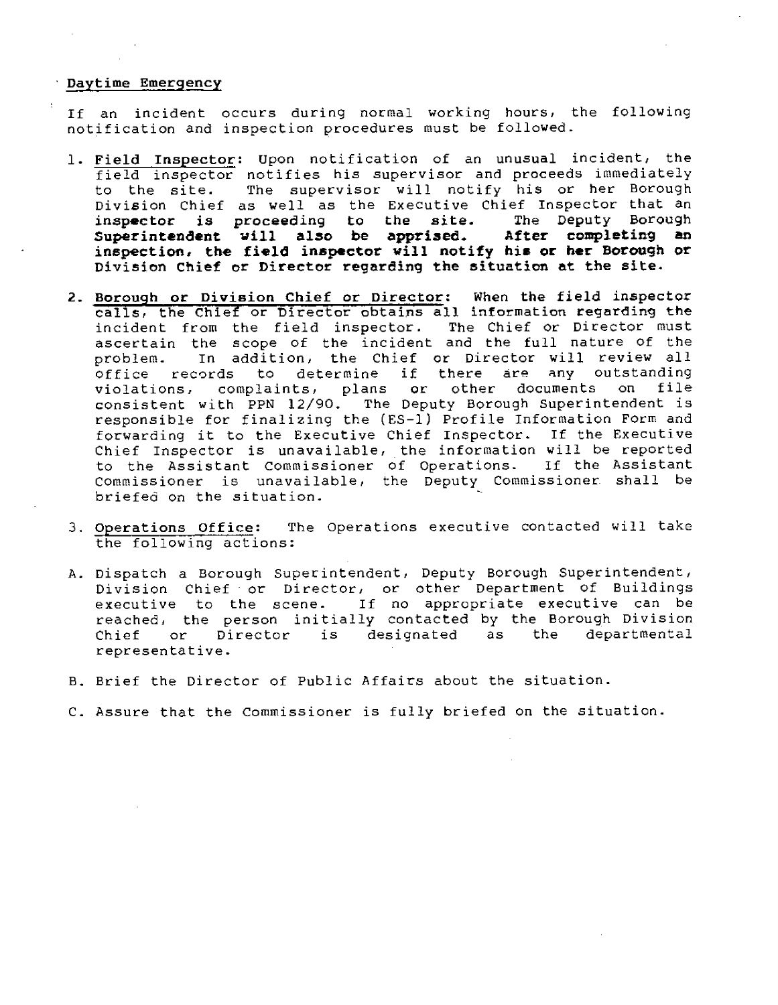## **Daytime Emergency**

If an incident occurs during normal working hours, the following notification and inspection procedures must be followed.

- **1. Field Inspector:** Upon notification of an unusual incident, the field inspector notifies his supervisor and proceeds immediately to the site. The supervisor will notify his or her Borough Division Chief as well as the Executive Chief Inspector that an inspector is proceeding to the site. The Deputy Borough **inspector is proceeding to the site. The Deputy Borough Superintendent will also be apprised. After completing an inspection, the field inspector will notify his or her Borough or Division Chief or Director regarding the situation at the site.**
- **2. Borough or Division Chief or Director: When the field inspector calls, the Chief or Director obtains all information regarding the**  incident from the field inspector. The Chief or Director must ascertain the scope of the incident and the full nature of the problem. In addition, the Chief or Director will review all<br>office records to determine if there are any outstanding to determine if there are any outstanding<br>blaints, plans or other documents on file violations, complaints, plans or other documents consistent with PPN 12/90. The Deputy Borough Superintendent is responsible for finalizing the (ES-1) Profile Information Form and forwarding it to the Executive Chief Inspector. If the Executive Chief Inspector is unavailable, the information will be reported to the Assistant Commissioner of Operations. If the Assistant Commissioner is unavailable, the Deputy Commissioner shall be briefed on the situation.
- **3. Operations Office:** The Operations executive contacted will take the following actions:
- A. Dispatch a Borough Superintendent, Deputy Borough Superintendent, Division Chief or Director, or other Department of Buildings executive to the scene. If no appropriate executive can be reached, the person initially contacted by the Borough Division Chief or Director is designated as the departmental representative.
- B. Brief the Director of Public Affairs about the situation.
- C. Assure that the Commissioner is fully briefed on the situation.